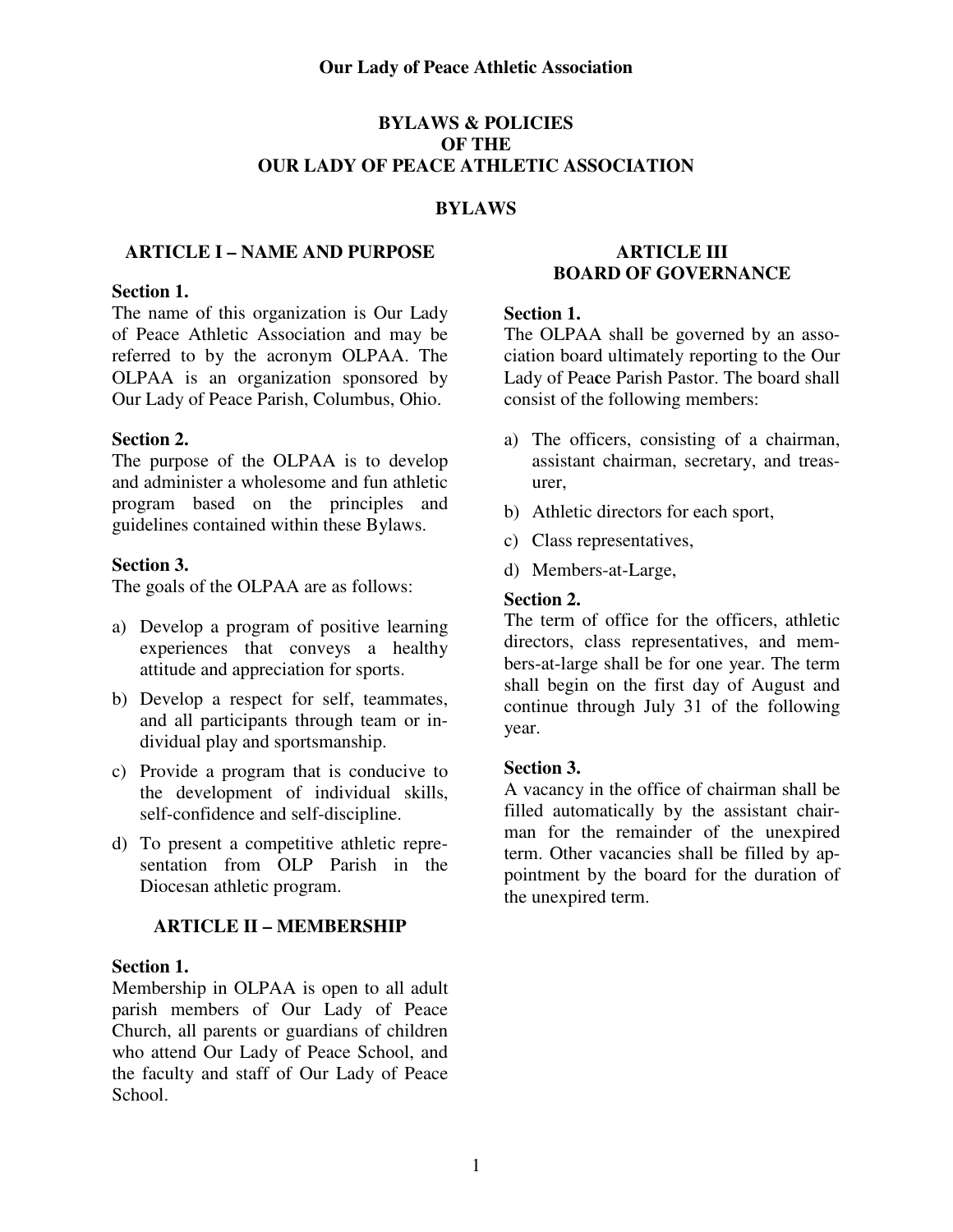# **BYLAWS & POLICIES OF THE OUR LADY OF PEACE ATHLETIC ASSOCIATION**

## **BYLAWS**

### **ARTICLE I – NAME AND PURPOSE**

#### **Section 1.**

The name of this organization is Our Lady of Peace Athletic Association and may be referred to by the acronym OLPAA. The OLPAA is an organization sponsored by Our Lady of Peace Parish, Columbus, Ohio.

#### **Section 2.**

The purpose of the OLPAA is to develop and administer a wholesome and fun athletic program based on the principles and guidelines contained within these Bylaws.

#### **Section 3.**

The goals of the OLPAA are as follows:

- a) Develop a program of positive learning experiences that conveys a healthy attitude and appreciation for sports.
- b) Develop a respect for self, teammates, and all participants through team or individual play and sportsmanship.
- c) Provide a program that is conducive to the development of individual skills, self-confidence and self-discipline.
- d) To present a competitive athletic representation from OLP Parish in the Diocesan athletic program.

### **ARTICLE II – MEMBERSHIP**

#### **Section 1.**

Membership in OLPAA is open to all adult parish members of Our Lady of Peace Church, all parents or guardians of children who attend Our Lady of Peace School, and the faculty and staff of Our Lady of Peace School.

### **ARTICLE III BOARD OF GOVERNANCE**

#### **Section 1.**

The OLPAA shall be governed by an association board ultimately reporting to the Our Lady of Pea**c**e Parish Pastor. The board shall consist of the following members:

- a) The officers, consisting of a chairman, assistant chairman, secretary, and treasurer,
- b) Athletic directors for each sport,
- c) Class representatives,
- d) Members-at-Large,

#### **Section 2.**

The term of office for the officers, athletic directors, class representatives, and members-at-large shall be for one year. The term shall begin on the first day of August and continue through July 31 of the following year.

### **Section 3.**

A vacancy in the office of chairman shall be filled automatically by the assistant chairman for the remainder of the unexpired term. Other vacancies shall be filled by appointment by the board for the duration of the unexpired term.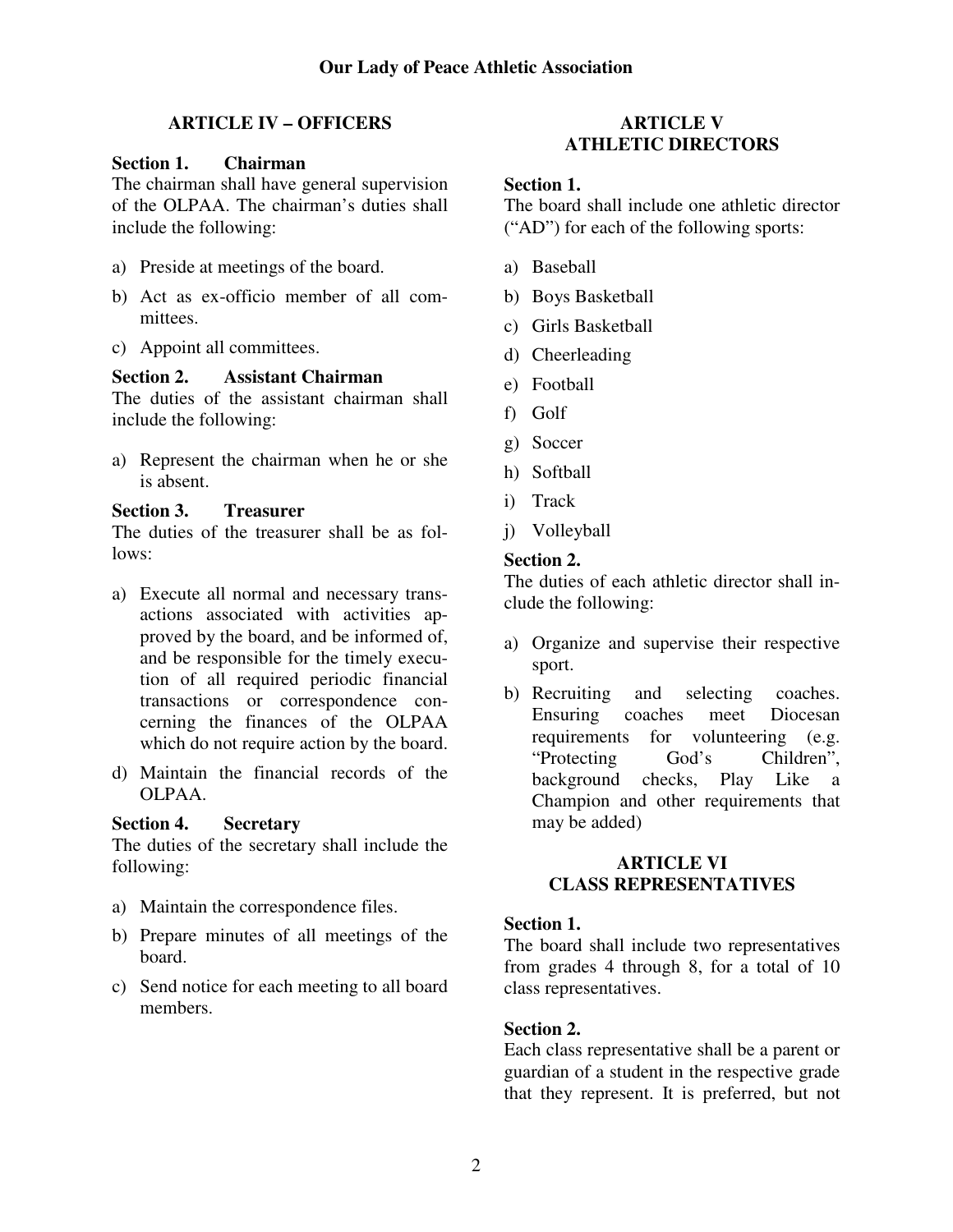# **ARTICLE IV – OFFICERS**

## **Section 1. Chairman**

The chairman shall have general supervision of the OLPAA. The chairman's duties shall include the following:

- a) Preside at meetings of the board.
- b) Act as ex-officio member of all committees.
- c) Appoint all committees.

# **Section 2. Assistant Chairman**

The duties of the assistant chairman shall include the following:

a) Represent the chairman when he or she is absent.

## **Section 3. Treasurer**

The duties of the treasurer shall be as follows:

- a) Execute all normal and necessary transactions associated with activities approved by the board, and be informed of, and be responsible for the timely execution of all required periodic financial transactions or correspondence concerning the finances of the OLPAA which do not require action by the board.
- d) Maintain the financial records of the OLPAA.

### **Section 4. Secretary**

The duties of the secretary shall include the following:

- a) Maintain the correspondence files.
- b) Prepare minutes of all meetings of the board.
- c) Send notice for each meeting to all board members.

# **ARTICLE V ATHLETIC DIRECTORS**

### **Section 1.**

The board shall include one athletic director ("AD") for each of the following sports:

- a) Baseball
- b) Boys Basketball
- c) Girls Basketball
- d) Cheerleading
- e) Football
- f) Golf
- g) Soccer
- h) Softball
- i) Track
- j) Volleyball

# **Section 2.**

The duties of each athletic director shall include the following:

- a) Organize and supervise their respective sport.
- b) Recruiting and selecting coaches. Ensuring coaches meet Diocesan requirements for volunteering (e.g. "Protecting God's Children", background checks, Play Like a Champion and other requirements that may be added)

## **ARTICLE VI CLASS REPRESENTATIVES**

### **Section 1.**

The board shall include two representatives from grades 4 through 8, for a total of 10 class representatives.

### **Section 2.**

Each class representative shall be a parent or guardian of a student in the respective grade that they represent. It is preferred, but not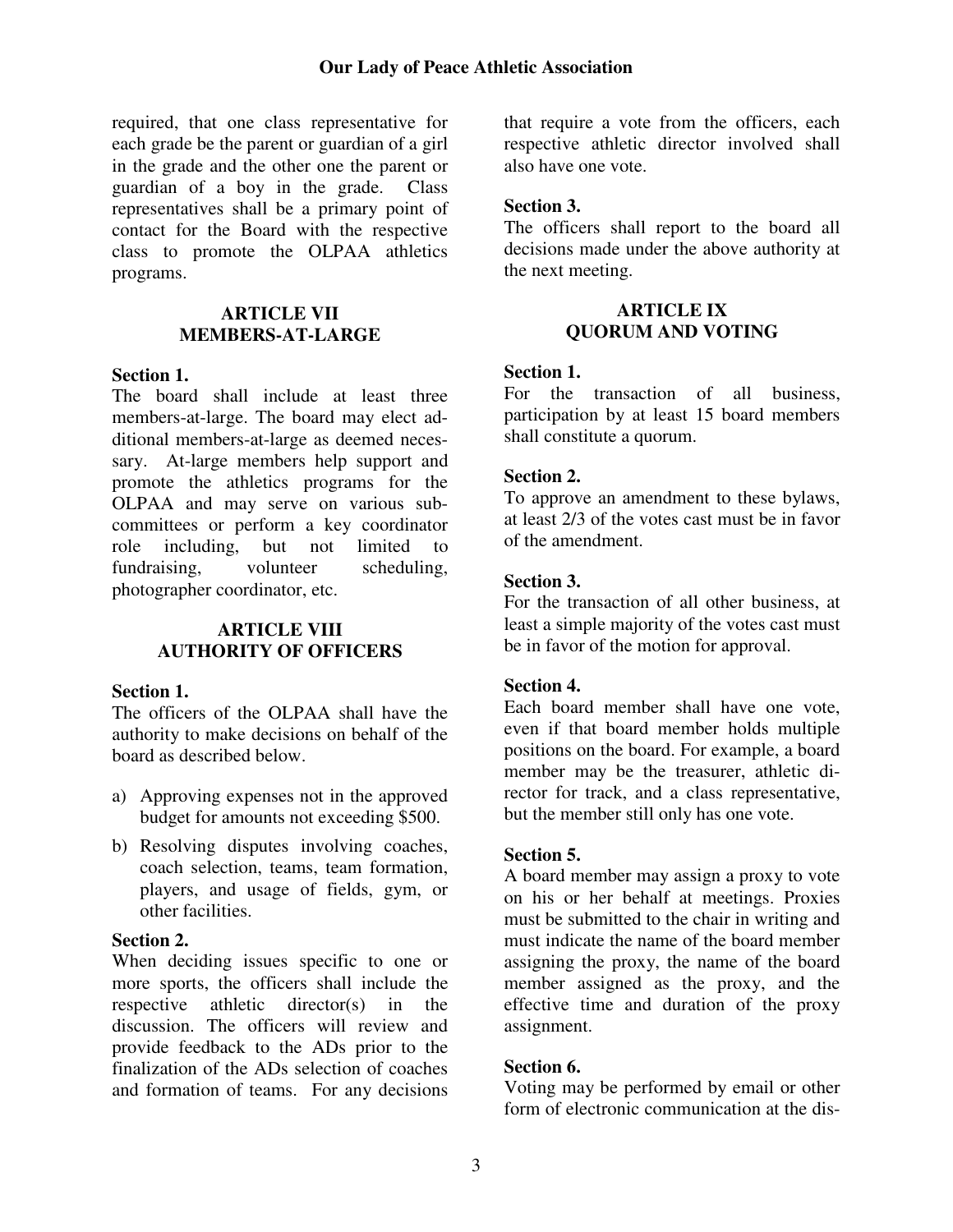required, that one class representative for each grade be the parent or guardian of a girl in the grade and the other one the parent or guardian of a boy in the grade. Class representatives shall be a primary point of contact for the Board with the respective class to promote the OLPAA athletics programs.

### **ARTICLE VII MEMBERS-AT-LARGE**

#### **Section 1.**

The board shall include at least three members-at-large. The board may elect additional members-at-large as deemed necessary. At-large members help support and promote the athletics programs for the OLPAA and may serve on various subcommittees or perform a key coordinator role including, but not limited to fundraising, volunteer scheduling, photographer coordinator, etc.

# **ARTICLE VIII AUTHORITY OF OFFICERS**

### **Section 1.**

The officers of the OLPAA shall have the authority to make decisions on behalf of the board as described below.

- a) Approving expenses not in the approved budget for amounts not exceeding \$500.
- b) Resolving disputes involving coaches, coach selection, teams, team formation, players, and usage of fields, gym, or other facilities.

### **Section 2.**

When deciding issues specific to one or more sports, the officers shall include the respective athletic director(s) in the discussion. The officers will review and provide feedback to the ADs prior to the finalization of the ADs selection of coaches and formation of teams. For any decisions

that require a vote from the officers, each respective athletic director involved shall also have one vote.

## **Section 3.**

The officers shall report to the board all decisions made under the above authority at the next meeting.

### **ARTICLE IX QUORUM AND VOTING**

### **Section 1.**

For the transaction of all business, participation by at least 15 board members shall constitute a quorum.

### **Section 2.**

To approve an amendment to these bylaws, at least 2/3 of the votes cast must be in favor of the amendment.

### **Section 3.**

For the transaction of all other business, at least a simple majority of the votes cast must be in favor of the motion for approval.

### **Section 4.**

Each board member shall have one vote, even if that board member holds multiple positions on the board. For example, a board member may be the treasurer, athletic director for track, and a class representative, but the member still only has one vote.

### **Section 5.**

A board member may assign a proxy to vote on his or her behalf at meetings. Proxies must be submitted to the chair in writing and must indicate the name of the board member assigning the proxy, the name of the board member assigned as the proxy, and the effective time and duration of the proxy assignment.

### **Section 6.**

Voting may be performed by email or other form of electronic communication at the dis-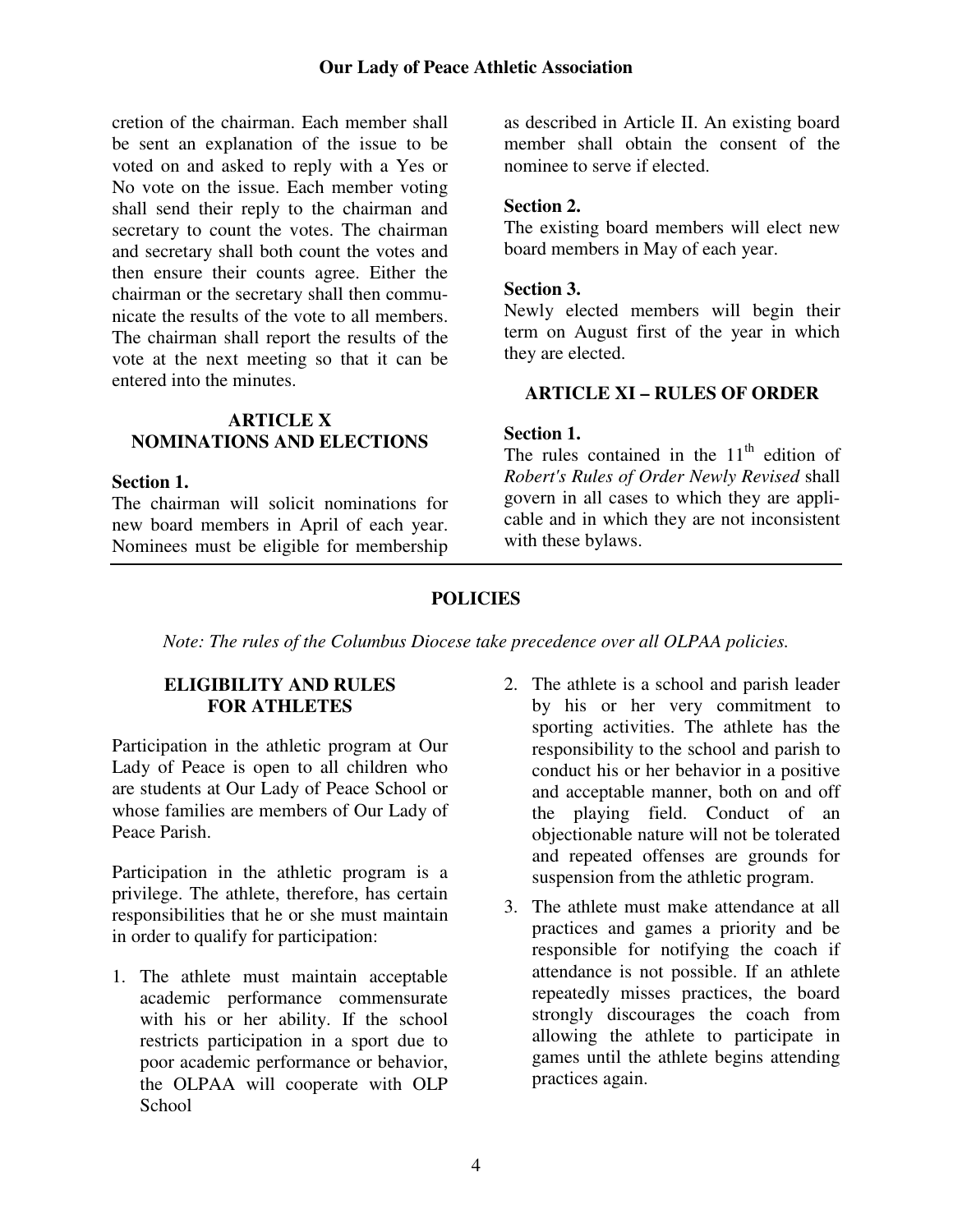### **Our Lady of Peace Athletic Association**

cretion of the chairman. Each member shall be sent an explanation of the issue to be voted on and asked to reply with a Yes or No vote on the issue. Each member voting shall send their reply to the chairman and secretary to count the votes. The chairman and secretary shall both count the votes and then ensure their counts agree. Either the chairman or the secretary shall then communicate the results of the vote to all members. The chairman shall report the results of the vote at the next meeting so that it can be entered into the minutes.

### **ARTICLE X NOMINATIONS AND ELECTIONS**

#### **Section 1.**

The chairman will solicit nominations for new board members in April of each year. Nominees must be eligible for membership

as described in Article II. An existing board member shall obtain the consent of the nominee to serve if elected.

### **Section 2.**

The existing board members will elect new board members in May of each year.

#### **Section 3.**

Newly elected members will begin their term on August first of the year in which they are elected.

## **ARTICLE XI – RULES OF ORDER**

#### **Section 1.**

The rules contained in the  $11<sup>th</sup>$  edition of *Robert's Rules of Order Newly Revised* shall govern in all cases to which they are applicable and in which they are not inconsistent with these bylaws.

## **POLICIES**

*Note: The rules of the Columbus Diocese take precedence over all OLPAA policies.*

## **ELIGIBILITY AND RULES FOR ATHLETES**

Participation in the athletic program at Our Lady of Peace is open to all children who are students at Our Lady of Peace School or whose families are members of Our Lady of Peace Parish.

Participation in the athletic program is a privilege. The athlete, therefore, has certain responsibilities that he or she must maintain in order to qualify for participation:

- 1. The athlete must maintain acceptable academic performance commensurate with his or her ability. If the school restricts participation in a sport due to poor academic performance or behavior, the OLPAA will cooperate with OLP **School**
- 2. The athlete is a school and parish leader by his or her very commitment to sporting activities. The athlete has the responsibility to the school and parish to conduct his or her behavior in a positive and acceptable manner, both on and off the playing field. Conduct of an objectionable nature will not be tolerated and repeated offenses are grounds for suspension from the athletic program.
- 3. The athlete must make attendance at all practices and games a priority and be responsible for notifying the coach if attendance is not possible. If an athlete repeatedly misses practices, the board strongly discourages the coach from allowing the athlete to participate in games until the athlete begins attending practices again.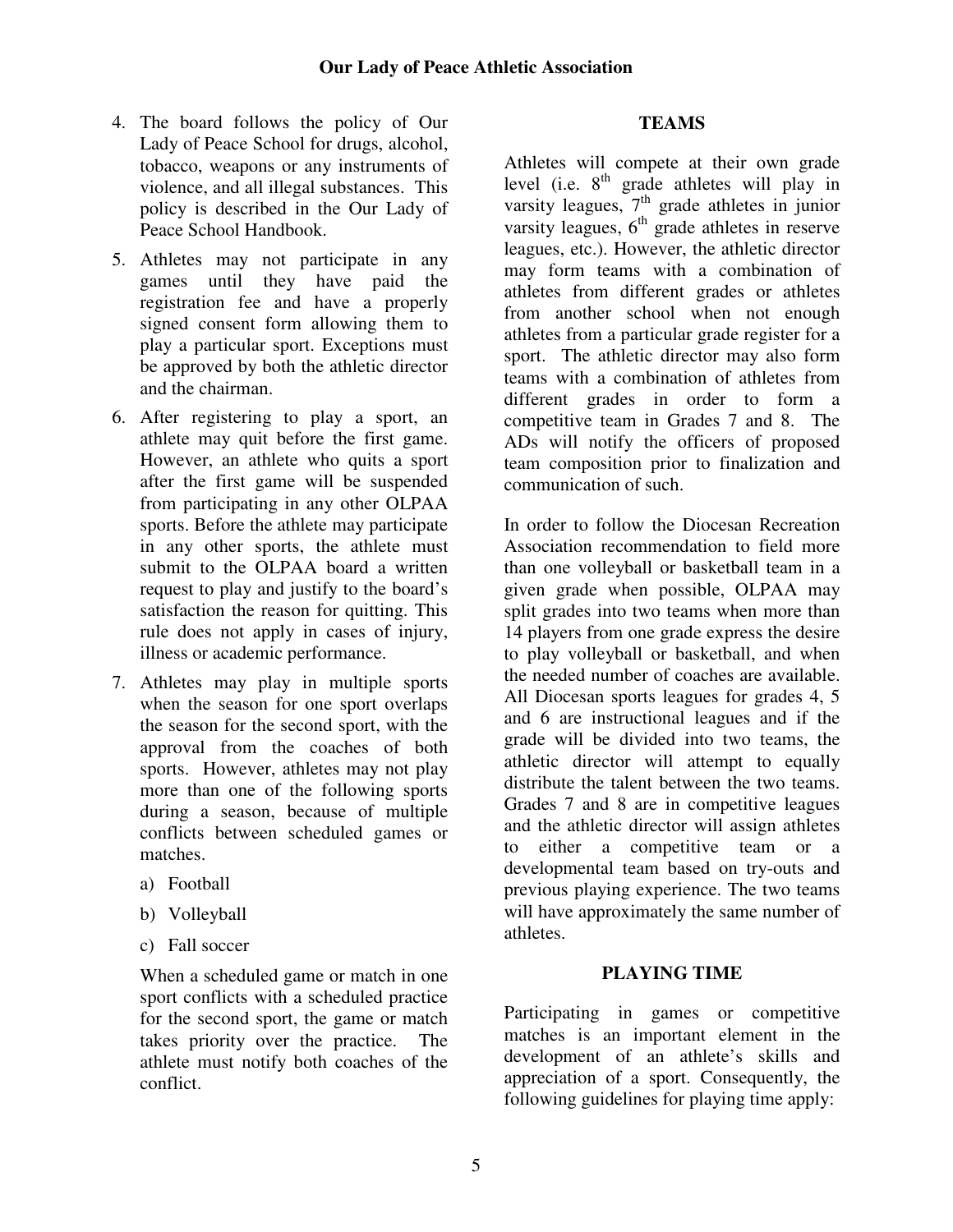- 4. The board follows the policy of Our Lady of Peace School for drugs, alcohol, tobacco, weapons or any instruments of violence, and all illegal substances. This policy is described in the Our Lady of Peace School Handbook.
- 5. Athletes may not participate in any games until they have paid the registration fee and have a properly signed consent form allowing them to play a particular sport. Exceptions must be approved by both the athletic director and the chairman.
- 6. After registering to play a sport, an athlete may quit before the first game. However, an athlete who quits a sport after the first game will be suspended from participating in any other OLPAA sports. Before the athlete may participate in any other sports, the athlete must submit to the OLPAA board a written request to play and justify to the board's satisfaction the reason for quitting. This rule does not apply in cases of injury, illness or academic performance.
- 7. Athletes may play in multiple sports when the season for one sport overlaps the season for the second sport, with the approval from the coaches of both sports. However, athletes may not play more than one of the following sports during a season, because of multiple conflicts between scheduled games or matches.
	- a) Football
	- b) Volleyball
	- c) Fall soccer

 When a scheduled game or match in one sport conflicts with a scheduled practice for the second sport, the game or match takes priority over the practice. The athlete must notify both coaches of the conflict.

## **TEAMS**

Athletes will compete at their own grade level (i.e.  $8<sup>th</sup>$  grade athletes will play in varsity leagues,  $7<sup>th</sup>$  grade athletes in junior varsity leagues,  $6<sup>th</sup>$  grade athletes in reserve leagues, etc.). However, the athletic director may form teams with a combination of athletes from different grades or athletes from another school when not enough athletes from a particular grade register for a sport. The athletic director may also form teams with a combination of athletes from different grades in order to form a competitive team in Grades 7 and 8. The ADs will notify the officers of proposed team composition prior to finalization and communication of such.

In order to follow the Diocesan Recreation Association recommendation to field more than one volleyball or basketball team in a given grade when possible, OLPAA may split grades into two teams when more than 14 players from one grade express the desire to play volleyball or basketball, and when the needed number of coaches are available. All Diocesan sports leagues for grades 4, 5 and 6 are instructional leagues and if the grade will be divided into two teams, the athletic director will attempt to equally distribute the talent between the two teams. Grades 7 and 8 are in competitive leagues and the athletic director will assign athletes to either a competitive team or a developmental team based on try-outs and previous playing experience. The two teams will have approximately the same number of athletes.

# **PLAYING TIME**

Participating in games or competitive matches is an important element in the development of an athlete's skills and appreciation of a sport. Consequently, the following guidelines for playing time apply: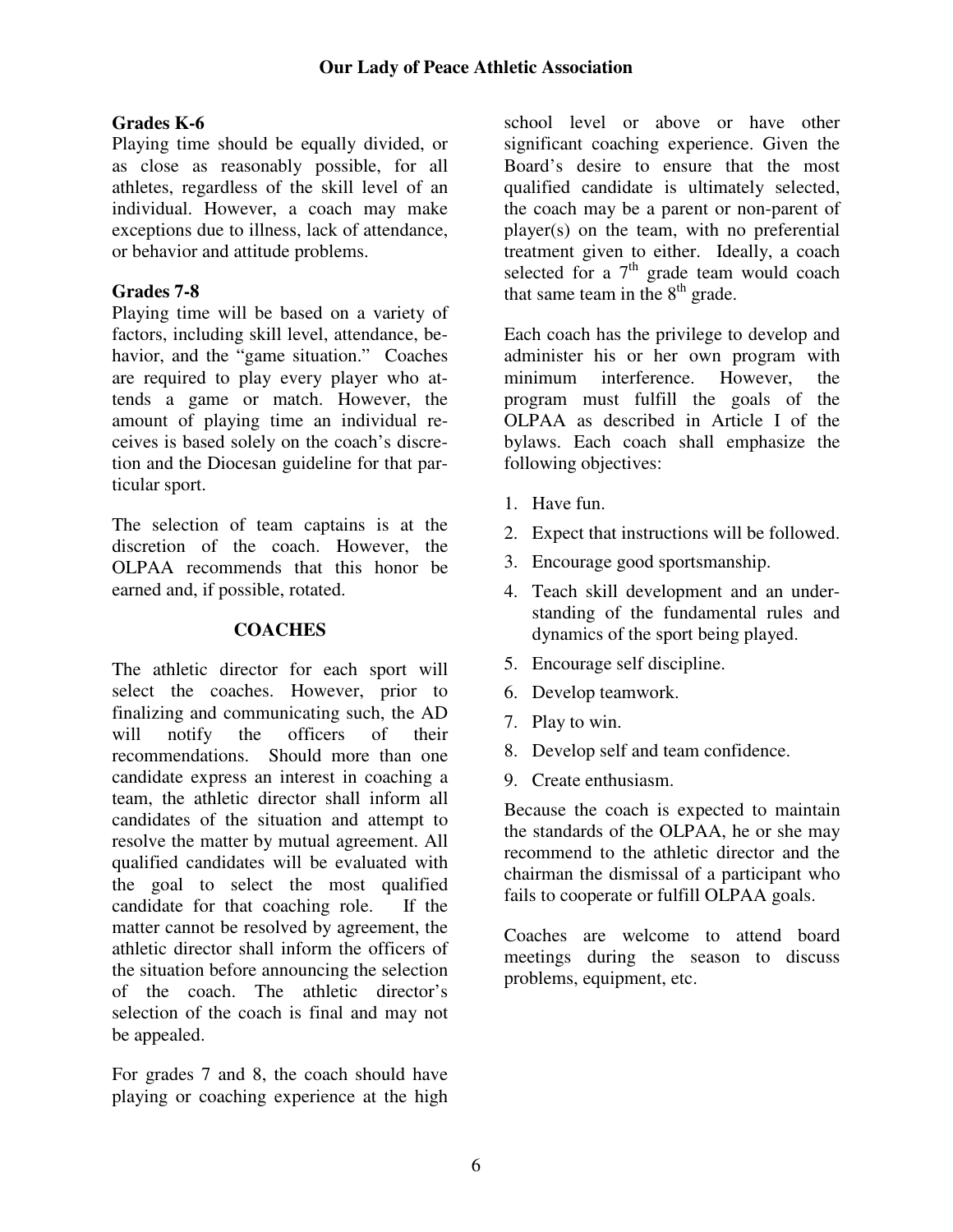# **Grades K-6**

Playing time should be equally divided, or as close as reasonably possible, for all athletes, regardless of the skill level of an individual. However, a coach may make exceptions due to illness, lack of attendance, or behavior and attitude problems.

# **Grades 7-8**

Playing time will be based on a variety of factors, including skill level, attendance, behavior, and the "game situation." Coaches are required to play every player who attends a game or match. However, the amount of playing time an individual receives is based solely on the coach's discretion and the Diocesan guideline for that particular sport.

The selection of team captains is at the discretion of the coach. However, the OLPAA recommends that this honor be earned and, if possible, rotated.

# **COACHES**

The athletic director for each sport will select the coaches. However, prior to finalizing and communicating such, the AD will notify the officers of their recommendations. Should more than one candidate express an interest in coaching a team, the athletic director shall inform all candidates of the situation and attempt to resolve the matter by mutual agreement. All qualified candidates will be evaluated with the goal to select the most qualified candidate for that coaching role. If the matter cannot be resolved by agreement, the athletic director shall inform the officers of the situation before announcing the selection of the coach. The athletic director's selection of the coach is final and may not be appealed.

For grades 7 and 8, the coach should have playing or coaching experience at the high

school level or above or have other significant coaching experience. Given the Board's desire to ensure that the most qualified candidate is ultimately selected, the coach may be a parent or non-parent of player(s) on the team, with no preferential treatment given to either. Ideally, a coach selected for a  $7<sup>th</sup>$  grade team would coach that same team in the  $8<sup>th</sup>$  grade.

Each coach has the privilege to develop and administer his or her own program with minimum interference. However, the program must fulfill the goals of the OLPAA as described in Article I of the bylaws. Each coach shall emphasize the following objectives:

- 1. Have fun.
- 2. Expect that instructions will be followed.
- 3. Encourage good sportsmanship.
- 4. Teach skill development and an understanding of the fundamental rules and dynamics of the sport being played.
- 5. Encourage self discipline.
- 6. Develop teamwork.
- 7. Play to win.
- 8. Develop self and team confidence.
- 9. Create enthusiasm.

Because the coach is expected to maintain the standards of the OLPAA, he or she may recommend to the athletic director and the chairman the dismissal of a participant who fails to cooperate or fulfill OLPAA goals.

Coaches are welcome to attend board meetings during the season to discuss problems, equipment, etc.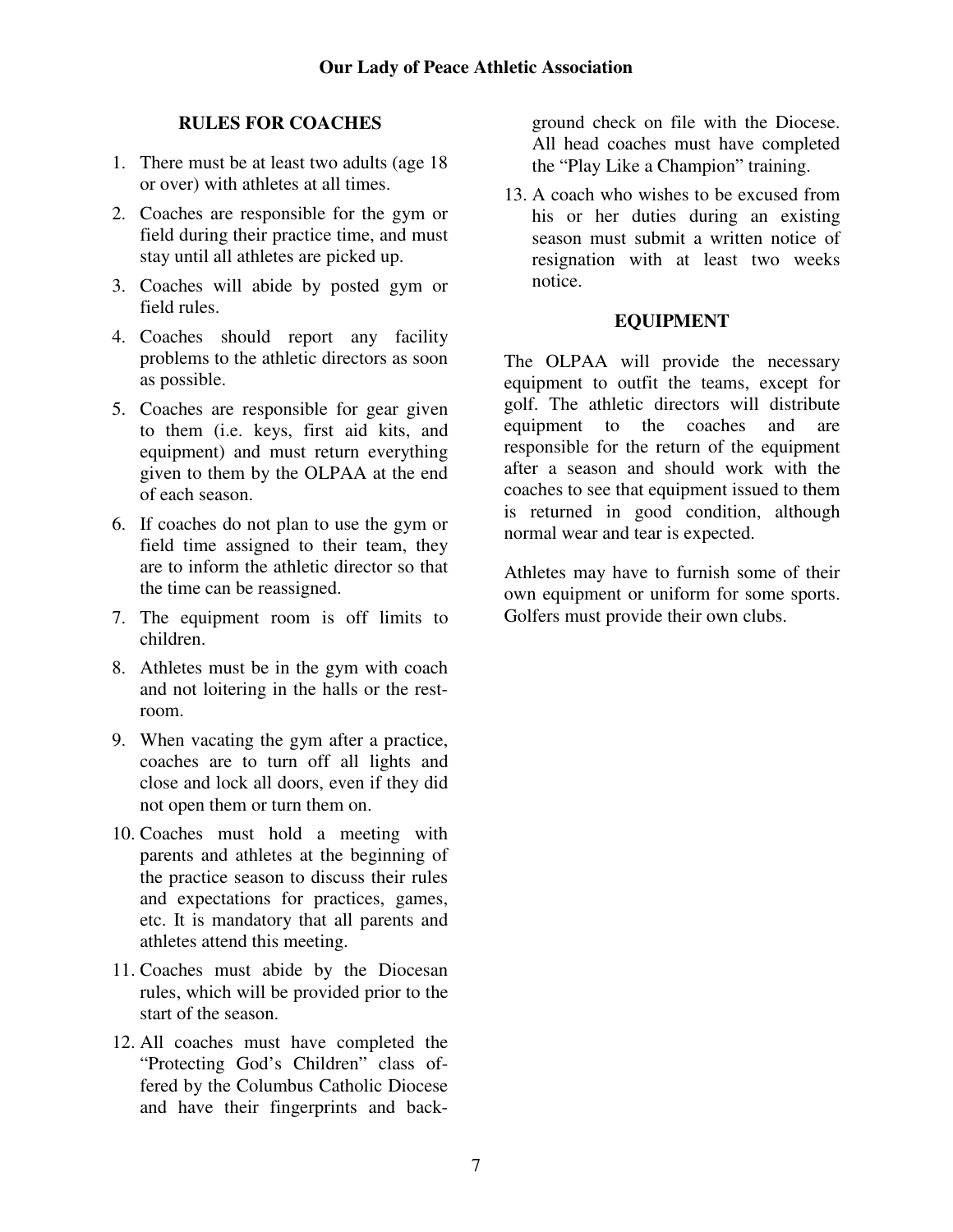# **RULES FOR COACHES**

- 1. There must be at least two adults (age 18 or over) with athletes at all times.
- 2. Coaches are responsible for the gym or field during their practice time, and must stay until all athletes are picked up.
- 3. Coaches will abide by posted gym or field rules.
- 4. Coaches should report any facility problems to the athletic directors as soon as possible.
- 5. Coaches are responsible for gear given to them (i.e. keys, first aid kits, and equipment) and must return everything given to them by the OLPAA at the end of each season.
- 6. If coaches do not plan to use the gym or field time assigned to their team, they are to inform the athletic director so that the time can be reassigned.
- 7. The equipment room is off limits to children.
- 8. Athletes must be in the gym with coach and not loitering in the halls or the restroom.
- 9. When vacating the gym after a practice, coaches are to turn off all lights and close and lock all doors, even if they did not open them or turn them on.
- 10. Coaches must hold a meeting with parents and athletes at the beginning of the practice season to discuss their rules and expectations for practices, games, etc. It is mandatory that all parents and athletes attend this meeting.
- 11. Coaches must abide by the Diocesan rules, which will be provided prior to the start of the season.
- 12. All coaches must have completed the "Protecting God's Children" class offered by the Columbus Catholic Diocese and have their fingerprints and back-

ground check on file with the Diocese. All head coaches must have completed the "Play Like a Champion" training.

13. A coach who wishes to be excused from his or her duties during an existing season must submit a written notice of resignation with at least two weeks notice.

## **EQUIPMENT**

The OLPAA will provide the necessary equipment to outfit the teams, except for golf. The athletic directors will distribute equipment to the coaches and are responsible for the return of the equipment after a season and should work with the coaches to see that equipment issued to them is returned in good condition, although normal wear and tear is expected.

Athletes may have to furnish some of their own equipment or uniform for some sports. Golfers must provide their own clubs.